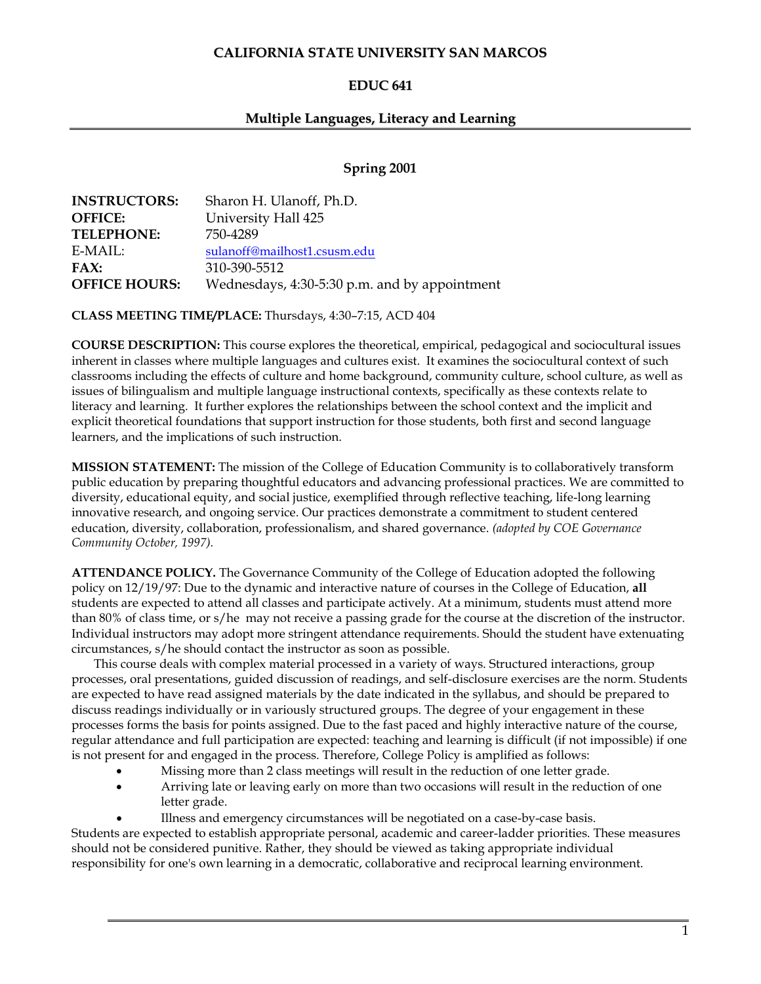# **CALIFORNIA STATE UNIVERSITY SAN MARCOS**

# **EDUC 641**

# **Multiple Languages, Literacy and Learning**

# **Spring 2001**

| <b>INSTRUCTORS:</b>  | Sharon H. Ulanoff, Ph.D.                      |
|----------------------|-----------------------------------------------|
| <b>OFFICE:</b>       | University Hall 425                           |
| <b>TELEPHONE:</b>    | 750-4289                                      |
| E-MAIL:              | sulanoff@mailhost1.csusm.edu                  |
| FAX:                 | 310-390-5512                                  |
| <b>OFFICE HOURS:</b> | Wednesdays, 4:30-5:30 p.m. and by appointment |

**CLASS MEETING TIME/PLACE:** Thursdays, 4:30–7:15, ACD 404

**COURSE DESCRIPTION:** This course explores the theoretical, empirical, pedagogical and sociocultural issues inherent in classes where multiple languages and cultures exist. It examines the sociocultural context of such classrooms including the effects of culture and home background, community culture, school culture, as well as issues of bilingualism and multiple language instructional contexts, specifically as these contexts relate to literacy and learning. It further explores the relationships between the school context and the implicit and explicit theoretical foundations that support instruction for those students, both first and second language learners, and the implications of such instruction.

**MISSION STATEMENT:** The mission of the College of Education Community is to collaboratively transform public education by preparing thoughtful educators and advancing professional practices. We are committed to diversity, educational equity, and social justice, exemplified through reflective teaching, life-long learning innovative research, and ongoing service. Our practices demonstrate a commitment to student centered education, diversity, collaboration, professionalism, and shared governance. *(adopted by COE Governance Community October, 1997).*

**ATTENDANCE POLICY.** The Governance Community of the College of Education adopted the following policy on 12/19/97: Due to the dynamic and interactive nature of courses in the College of Education, **all**  students are expected to attend all classes and participate actively. At a minimum, students must attend more than 80% of class time, or s/he may not receive a passing grade for the course at the discretion of the instructor. Individual instructors may adopt more stringent attendance requirements. Should the student have extenuating circumstances, s/he should contact the instructor as soon as possible.

This course deals with complex material processed in a variety of ways. Structured interactions, group processes, oral presentations, guided discussion of readings, and self-disclosure exercises are the norm. Students are expected to have read assigned materials by the date indicated in the syllabus, and should be prepared to discuss readings individually or in variously structured groups. The degree of your engagement in these processes forms the basis for points assigned. Due to the fast paced and highly interactive nature of the course, regular attendance and full participation are expected: teaching and learning is difficult (if not impossible) if one is not present for and engaged in the process. Therefore, College Policy is amplified as follows:

- Missing more than 2 class meetings will result in the reduction of one letter grade.
- Arriving late or leaving early on more than two occasions will result in the reduction of one letter grade.
	- Illness and emergency circumstances will be negotiated on a case-by-case basis.

Students are expected to establish appropriate personal, academic and career-ladder priorities. These measures should not be considered punitive. Rather, they should be viewed as taking appropriate individual responsibility for one's own learning in a democratic, collaborative and reciprocal learning environment.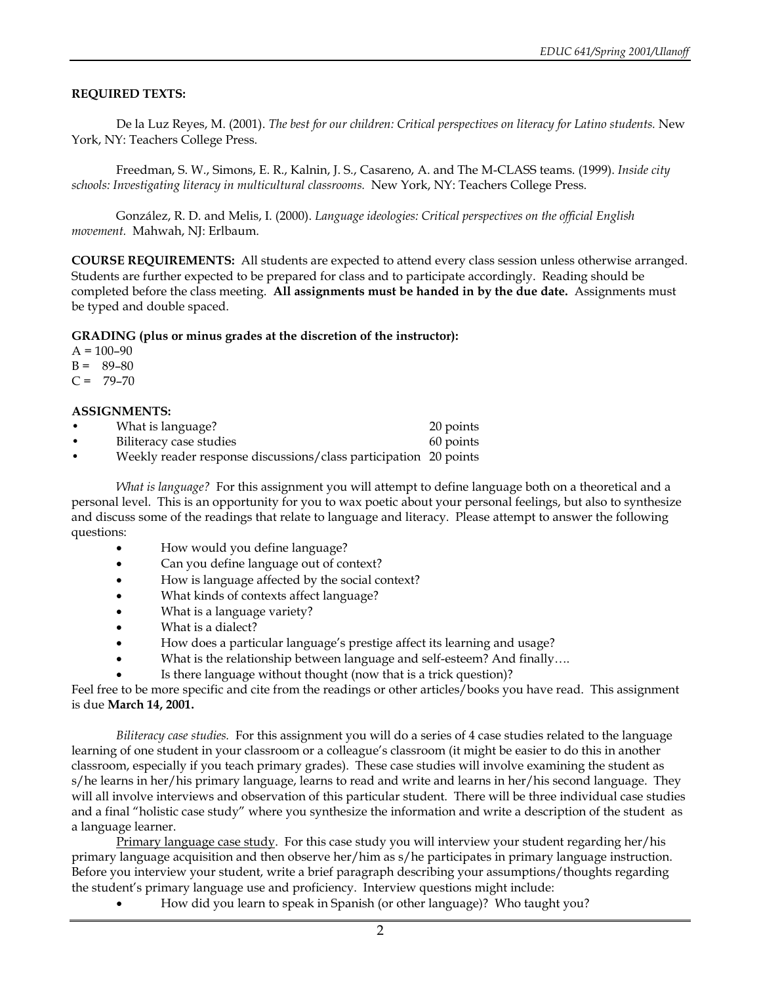#### **REQUIRED TEXTS:**

De la Luz Reyes, M. (2001). *The best for our children: Critical perspectives on literacy for Latino students.* New York, NY: Teachers College Press.

Freedman, S. W., Simons, E. R., Kalnin, J. S., Casareno, A. and The M-CLASS teams. (1999). *Inside city schools: Investigating literacy in multicultural classrooms.* New York, NY: Teachers College Press.

González, R. D. and Melis, I. (2000). *Language ideologies: Critical perspectives on the official English movement.* Mahwah, NJ: Erlbaum.

**COURSE REQUIREMENTS:** All students are expected to attend every class session unless otherwise arranged. Students are further expected to be prepared for class and to participate accordingly. Reading should be completed before the class meeting. **All assignments must be handed in by the due date.** Assignments must be typed and double spaced.

#### **GRADING (plus or minus grades at the discretion of the instructor):**

 $A = 100 - 90$ 

- $B = 89-80$
- $C = 79-70$

#### **ASSIGNMENTS:**

| What is language?       | 20 points |
|-------------------------|-----------|
| Biliteracy case studies | 60 points |

• Weekly reader response discussions/class participation 20 points

*What is language?* For this assignment you will attempt to define language both on a theoretical and a personal level. This is an opportunity for you to wax poetic about your personal feelings, but also to synthesize and discuss some of the readings that relate to language and literacy. Please attempt to answer the following questions:

- How would you define language?
- Can you define language out of context?
- How is language affected by the social context?
- What kinds of contexts affect language?
- What is a language variety?
- What is a dialect?
- How does a particular language's prestige affect its learning and usage?
- What is the relationship between language and self-esteem? And finally....
- Is there language without thought (now that is a trick question)?

Feel free to be more specific and cite from the readings or other articles/books you have read. This assignment is due **March 14, 2001.**

*Biliteracy case studies.* For this assignment you will do a series of 4 case studies related to the language learning of one student in your classroom or a colleague's classroom (it might be easier to do this in another classroom, especially if you teach primary grades). These case studies will involve examining the student as s/he learns in her/his primary language, learns to read and write and learns in her/his second language. They will all involve interviews and observation of this particular student. There will be three individual case studies and a final "holistic case study" where you synthesize the information and write a description of the student as a language learner.

Primary language case study. For this case study you will interview your student regarding her/his primary language acquisition and then observe her/him as s/he participates in primary language instruction. Before you interview your student, write a brief paragraph describing your assumptions/thoughts regarding the student's primary language use and proficiency. Interview questions might include:

• How did you learn to speak in Spanish (or other language)? Who taught you?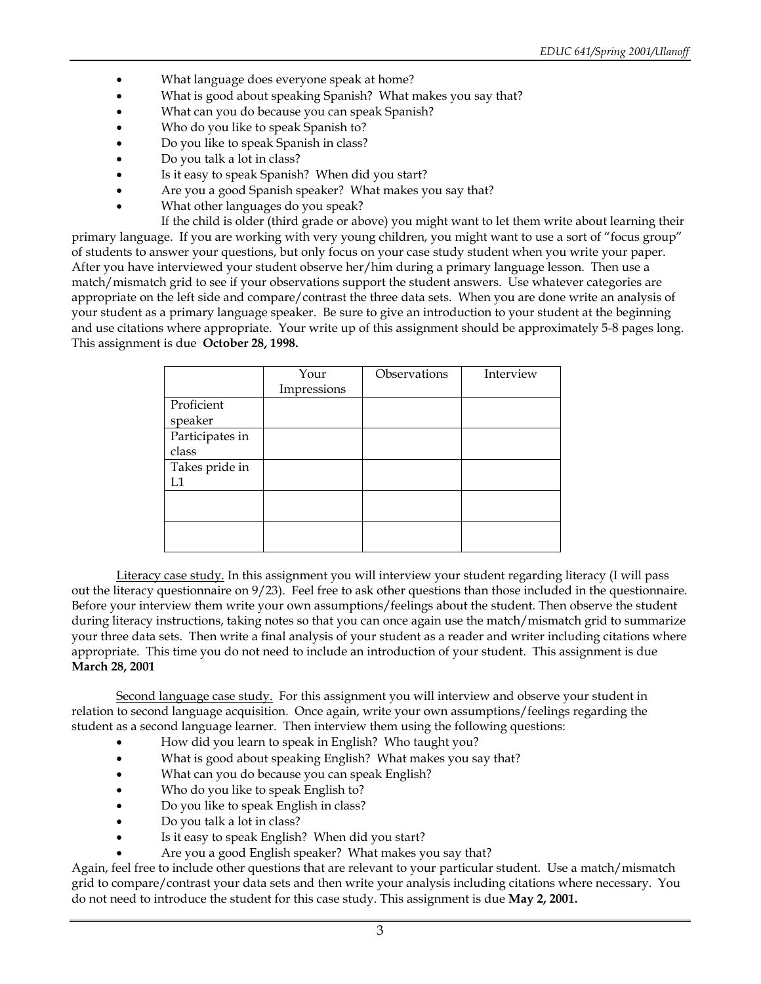- What language does everyone speak at home?
- What is good about speaking Spanish? What makes you say that?
- What can you do because you can speak Spanish?
- Who do you like to speak Spanish to?
- Do you like to speak Spanish in class?
- Do you talk a lot in class?
- Is it easy to speak Spanish? When did you start?
- Are you a good Spanish speaker? What makes you say that?
- What other languages do you speak?

If the child is older (third grade or above) you might want to let them write about learning their primary language. If you are working with very young children, you might want to use a sort of "focus group" of students to answer your questions, but only focus on your case study student when you write your paper. After you have interviewed your student observe her/him during a primary language lesson. Then use a match/mismatch grid to see if your observations support the student answers. Use whatever categories are appropriate on the left side and compare/contrast the three data sets. When you are done write an analysis of your student as a primary language speaker. Be sure to give an introduction to your student at the beginning and use citations where appropriate. Your write up of this assignment should be approximately 5-8 pages long. This assignment is due **October 28, 1998.**

|                 | Your        | Observations | Interview |
|-----------------|-------------|--------------|-----------|
|                 | Impressions |              |           |
| Proficient      |             |              |           |
| speaker         |             |              |           |
| Participates in |             |              |           |
| class           |             |              |           |
| Takes pride in  |             |              |           |
| T .1            |             |              |           |
|                 |             |              |           |
|                 |             |              |           |
|                 |             |              |           |
|                 |             |              |           |

Literacy case study. In this assignment you will interview your student regarding literacy (I will pass out the literacy questionnaire on 9/23). Feel free to ask other questions than those included in the questionnaire. Before your interview them write your own assumptions/feelings about the student. Then observe the student during literacy instructions, taking notes so that you can once again use the match/mismatch grid to summarize your three data sets. Then write a final analysis of your student as a reader and writer including citations where appropriate. This time you do not need to include an introduction of your student. This assignment is due **March 28, 2001**

Second language case study. For this assignment you will interview and observe your student in relation to second language acquisition. Once again, write your own assumptions/feelings regarding the student as a second language learner. Then interview them using the following questions:

- How did you learn to speak in English? Who taught you?
- What is good about speaking English? What makes you say that?
- What can you do because you can speak English?
- Who do you like to speak English to?
- Do you like to speak English in class?
- Do you talk a lot in class?
- Is it easy to speak English? When did you start?
- Are you a good English speaker? What makes you say that?

Again, feel free to include other questions that are relevant to your particular student. Use a match/mismatch grid to compare/contrast your data sets and then write your analysis including citations where necessary. You do not need to introduce the student for this case study. This assignment is due **May 2, 2001.**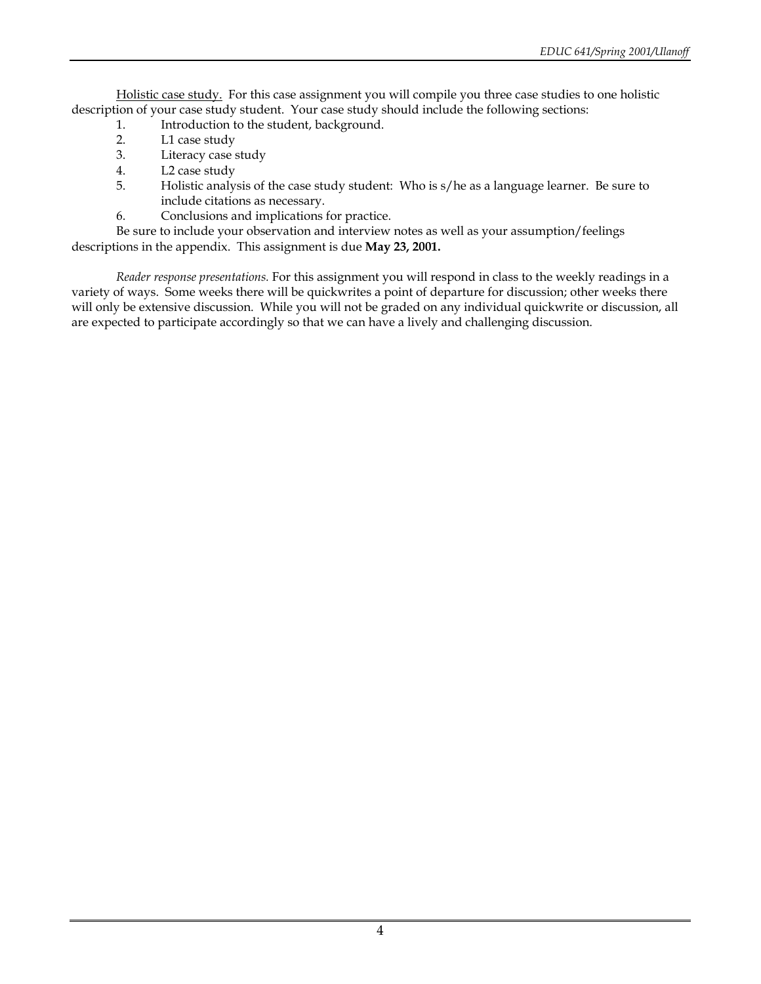Holistic case study. For this case assignment you will compile you three case studies to one holistic description of your case study student. Your case study should include the following sections:

- 1. Introduction to the student, background.
- 2. L1 case study
- 3. Literacy case study
- 4. L2 case study
- 5. Holistic analysis of the case study student: Who is s/he as a language learner. Be sure to include citations as necessary.
- 6. Conclusions and implications for practice.

Be sure to include your observation and interview notes as well as your assumption/feelings descriptions in the appendix. This assignment is due **May 23, 2001.**

*Reader response presentations.* For this assignment you will respond in class to the weekly readings in a variety of ways. Some weeks there will be quickwrites a point of departure for discussion; other weeks there will only be extensive discussion. While you will not be graded on any individual quickwrite or discussion, all are expected to participate accordingly so that we can have a lively and challenging discussion.